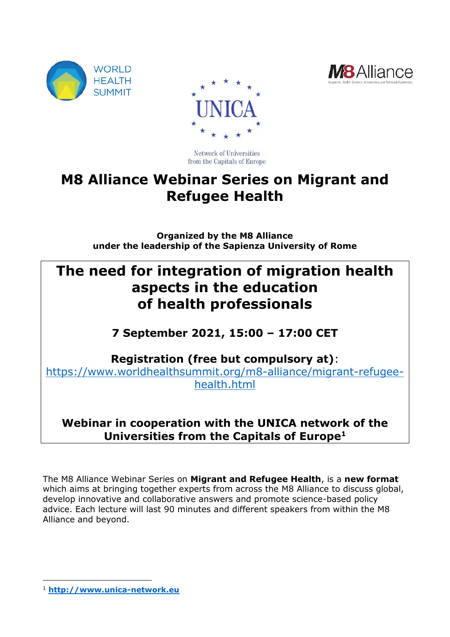





Network of Universities from the Capitals of Europe

# **M8 Alliance Webinar Series on Migrant and Refugee Health**

**Organized by the M8 Alliance under the leadership of the Sapienza University of Rome**

# **The need for integration of migration health aspects in the education of health professionals**

## **7 September 2021, 15:00 – 17:00 CET**

**Registration (free but compulsory at)**:

[https://www.worldhealthsummit.org/m8-alliance/migrant-refugee](https://www.worldhealthsummit.org/m8-alliance/migrant-refugee-health.html)[health.html](https://www.worldhealthsummit.org/m8-alliance/migrant-refugee-health.html)

## **Webinar in cooperation with the UNICA network of the Universities from the Capitals of Europe<sup>1</sup>**

The M8 Alliance Webinar Series on **Migrant and Refugee Health**, is a **new format**  which aims at bringing together experts from across the M8 Alliance to discuss global, develop innovative and collaborative answers and promote science-based policy advice. Each lecture will last 90 minutes and different speakers from within the M8 Alliance and beyond.

-

<sup>1</sup> **[http://www.unica-network.eu](http://www.unica-network.eu/)**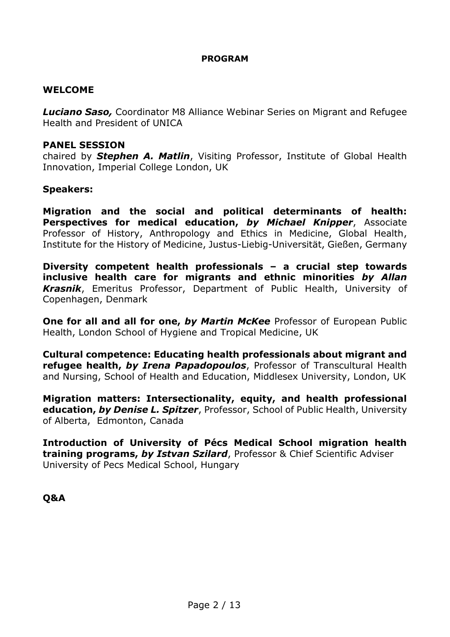#### **PROGRAM**

#### **WELCOME**

*Luciano Saso,* Coordinator M8 Alliance Webinar Series on Migrant and Refugee Health and President of UNICA

#### **PANEL SESSION**

chaired by *Stephen A. Matlin*, Visiting Professor, Institute of Global Health Innovation, Imperial College London, UK

#### **Speakers:**

**Migration and the social and political determinants of health: Perspectives for medical education,** *by Michael Knipper*, Associate Professor of History, Anthropology and Ethics in Medicine, Global Health, Institute for the History of Medicine, Justus-Liebig-Universität, Gießen, Germany

**Diversity competent health professionals – a crucial step towards inclusive health care for migrants and ethnic minorities** *by Allan Krasnik*, Emeritus Professor, Department of Public Health, University of Copenhagen, Denmark

**One for all and all for one,** *by Martin McKee* Professor of European Public Health, London School of Hygiene and Tropical Medicine, UK

**Cultural competence: Educating health professionals about migrant and refugee health,** *by Irena Papadopoulos*, Professor of Transcultural Health and Nursing, School of Health and Education, Middlesex University, London, UK

**Migration matters: Intersectionality, equity, and health professional education,** *by Denise L. Spitzer*, Professor, School of Public Health, University of Alberta, Edmonton, Canada

**Introduction of University of Pécs Medical School migration health training programs,** *by Istvan Szilard*, Professor & Chief Scientific Adviser University of Pecs Medical School, Hungary

#### **Q&A**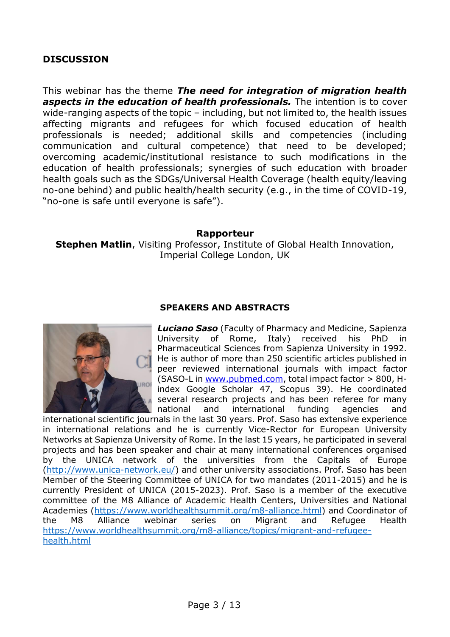### **DISCUSSION**

This webinar has the theme *The need for integration of migration health aspects in the education of health professionals.* The intention is to cover wide-ranging aspects of the topic – including, but not limited to, the health issues affecting migrants and refugees for which focused education of health professionals is needed; additional skills and competencies (including communication and cultural competence) that need to be developed; overcoming academic/institutional resistance to such modifications in the education of health professionals; synergies of such education with broader health goals such as the SDGs/Universal Health Coverage (health equity/leaving no-one behind) and public health/health security (e.g., in the time of COVID-19, "no-one is safe until everyone is safe").

#### **Rapporteur**

**Stephen Matlin, Visiting Professor, Institute of Global Health Innovation,** Imperial College London, UK



#### **SPEAKERS AND ABSTRACTS**

*Luciano Saso* (Faculty of Pharmacy and Medicine, Sapienza University of Rome, Italy) received his PhD in Pharmaceutical Sciences from Sapienza University in 1992. He is author of more than 250 scientific articles published in peer reviewed international journals with impact factor (SASO-L in [www.pubmed.com,](http://www.pubmed.com/) total impact factor > 800, Hindex Google Scholar 47, Scopus 39). He coordinated several research projects and has been referee for many national and international funding agencies and

international scientific journals in the last 30 years. Prof. Saso has extensive experience in international relations and he is currently Vice-Rector for European University Networks at Sapienza University of Rome. In the last 15 years, he participated in several projects and has been speaker and chair at many international conferences organised by the UNICA network of the universities from the Capitals of Europe [\(http://www.unica-network.eu/\)](http://www.unica-network.eu/) and other university associations. Prof. Saso has been Member of the Steering Committee of UNICA for two mandates (2011-2015) and he is currently President of UNICA (2015-2023). Prof. Saso is a member of the executive committee of the M8 Alliance of Academic Health Centers, Universities and National Academies [\(https://www.worldhealthsummit.org/m8-alliance.html\)](https://www.worldhealthsummit.org/m8-alliance.html) and Coordinator of the M8 Alliance webinar series on Migrant and Refugee Health [https://www.worldhealthsummit.org/m8-alliance/topics/migrant-and-refugee](https://www.worldhealthsummit.org/m8-alliance/topics/migrant-and-refugee-health.html)[health.html](https://www.worldhealthsummit.org/m8-alliance/topics/migrant-and-refugee-health.html)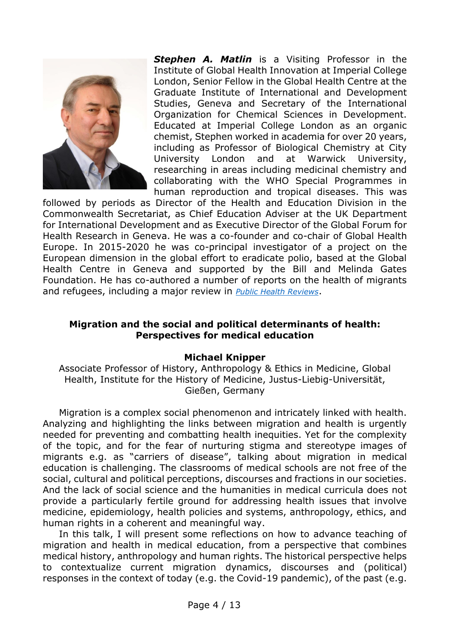

*Stephen A. Matlin* is a Visiting Professor in the Institute of Global Health Innovation at Imperial College London, Senior Fellow in the Global Health Centre at the Graduate Institute of International and Development Studies, Geneva and Secretary of the International Organization for Chemical Sciences in Development. Educated at Imperial College London as an organic chemist, Stephen worked in academia for over 20 years, including as Professor of Biological Chemistry at City University London and at Warwick University, researching in areas including medicinal chemistry and collaborating with the WHO Special Programmes in human reproduction and tropical diseases. This was

followed by periods as Director of the Health and Education Division in the Commonwealth Secretariat, as Chief Education Adviser at the UK Department for International Development and as Executive Director of the Global Forum for Health Research in Geneva. He was a co-founder and co-chair of Global Health Europe. In 2015-2020 he was co-principal investigator of a project on the European dimension in the global effort to eradicate polio, based at the Global Health Centre in Geneva and supported by the Bill and Melinda Gates Foundation. He has co-authored a number of reports on the health of migrants and refugees, including a major review in *[Public Health Reviews](https://doi.org/10.1186/s40985-018-0104-9)*.

#### **Migration and the social and political determinants of health: Perspectives for medical education**

#### **Michael Knipper**

Associate Professor of History, Anthropology & Ethics in Medicine, Global Health, Institute for the History of Medicine, Justus-Liebig-Universität, Gießen, Germany

Migration is a complex social phenomenon and intricately linked with health. Analyzing and highlighting the links between migration and health is urgently needed for preventing and combatting health inequities. Yet for the complexity of the topic, and for the fear of nurturing stigma and stereotype images of migrants e.g. as "carriers of disease", talking about migration in medical education is challenging. The classrooms of medical schools are not free of the social, cultural and political perceptions, discourses and fractions in our societies. And the lack of social science and the humanities in medical curricula does not provide a particularly fertile ground for addressing health issues that involve medicine, epidemiology, health policies and systems, anthropology, ethics, and human rights in a coherent and meaningful way.

In this talk, I will present some reflections on how to advance teaching of migration and health in medical education, from a perspective that combines medical history, anthropology and human rights. The historical perspective helps to contextualize current migration dynamics, discourses and (political) responses in the context of today (e.g. the Covid-19 pandemic), of the past (e.g.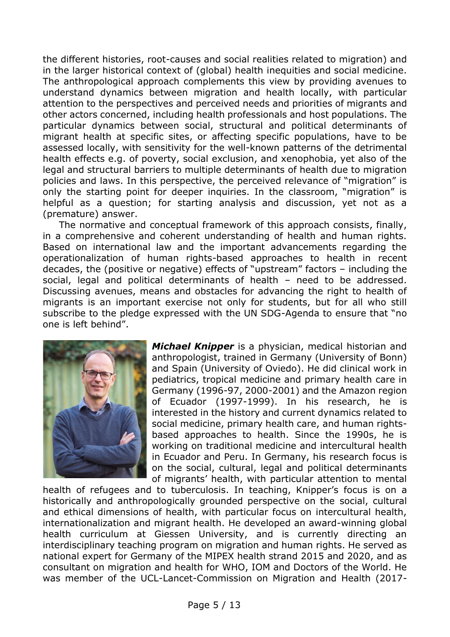the different histories, root-causes and social realities related to migration) and in the larger historical context of (global) health inequities and social medicine. The anthropological approach complements this view by providing avenues to understand dynamics between migration and health locally, with particular attention to the perspectives and perceived needs and priorities of migrants and other actors concerned, including health professionals and host populations. The particular dynamics between social, structural and political determinants of migrant health at specific sites, or affecting specific populations, have to be assessed locally, with sensitivity for the well-known patterns of the detrimental health effects e.g. of poverty, social exclusion, and xenophobia, yet also of the legal and structural barriers to multiple determinants of health due to migration policies and laws. In this perspective, the perceived relevance of "migration" is only the starting point for deeper inquiries. In the classroom, "migration" is helpful as a question; for starting analysis and discussion, yet not as a (premature) answer.

The normative and conceptual framework of this approach consists, finally, in a comprehensive and coherent understanding of health and human rights. Based on international law and the important advancements regarding the operationalization of human rights-based approaches to health in recent decades, the (positive or negative) effects of "upstream" factors – including the social, legal and political determinants of health – need to be addressed. Discussing avenues, means and obstacles for advancing the right to health of migrants is an important exercise not only for students, but for all who still subscribe to the pledge expressed with the UN SDG-Agenda to ensure that "no one is left behind".



*Michael Knipper* is a physician, medical historian and anthropologist, trained in Germany (University of Bonn) and Spain (University of Oviedo). He did clinical work in pediatrics, tropical medicine and primary health care in Germany (1996-97, 2000-2001) and the Amazon region of Ecuador (1997-1999). In his research, he is interested in the history and current dynamics related to social medicine, primary health care, and human rightsbased approaches to health. Since the 1990s, he is working on traditional medicine and intercultural health in Ecuador and Peru. In Germany, his research focus is on the social, cultural, legal and political determinants of migrants' health, with particular attention to mental

health of refugees and to tuberculosis. In teaching, Knipper's focus is on a historically and anthropologically grounded perspective on the social, cultural and ethical dimensions of health, with particular focus on intercultural health, internationalization and migrant health. He developed an award-winning global health curriculum at Giessen University, and is currently directing an interdisciplinary teaching program on migration and human rights. He served as national expert for Germany of the MIPEX health strand 2015 and 2020, and as consultant on migration and health for WHO, IOM and Doctors of the World. He was member of the UCL-Lancet-Commission on Migration and Health (2017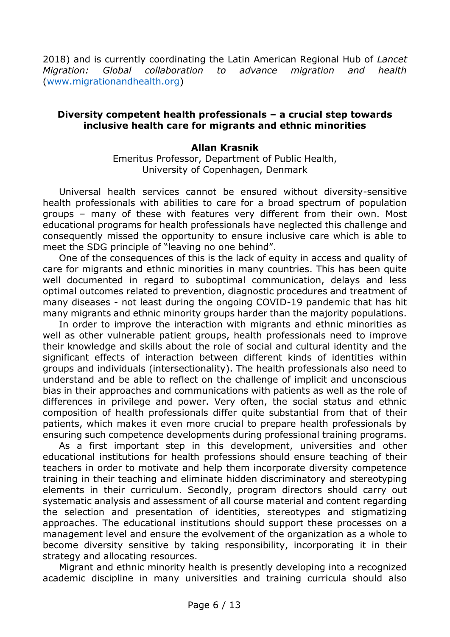2018) and is currently coordinating the Latin American Regional Hub of *Lancet Migration: Global collaboration to advance migration and health* [\(www.migrationandhealth.org\)](http://www.migrationandhealth.org/)

#### **Diversity competent health professionals – a crucial step towards inclusive health care for migrants and ethnic minorities**

#### **Allan Krasnik**

Emeritus Professor, Department of Public Health, University of Copenhagen, Denmark

Universal health services cannot be ensured without diversity-sensitive health professionals with abilities to care for a broad spectrum of population groups – many of these with features very different from their own. Most educational programs for health professionals have neglected this challenge and consequently missed the opportunity to ensure inclusive care which is able to meet the SDG principle of "leaving no one behind".

One of the consequences of this is the lack of equity in access and quality of care for migrants and ethnic minorities in many countries. This has been quite well documented in regard to suboptimal communication, delays and less optimal outcomes related to prevention, diagnostic procedures and treatment of many diseases - not least during the ongoing COVID-19 pandemic that has hit many migrants and ethnic minority groups harder than the majority populations.

In order to improve the interaction with migrants and ethnic minorities as well as other vulnerable patient groups, health professionals need to improve their knowledge and skills about the role of social and cultural identity and the significant effects of interaction between different kinds of identities within groups and individuals (intersectionality). The health professionals also need to understand and be able to reflect on the challenge of implicit and unconscious bias in their approaches and communications with patients as well as the role of differences in privilege and power. Very often, the social status and ethnic composition of health professionals differ quite substantial from that of their patients, which makes it even more crucial to prepare health professionals by ensuring such competence developments during professional training programs.

As a first important step in this development, universities and other educational institutions for health professions should ensure teaching of their teachers in order to motivate and help them incorporate diversity competence training in their teaching and eliminate hidden discriminatory and stereotyping elements in their curriculum. Secondly, program directors should carry out systematic analysis and assessment of all course material and content regarding the selection and presentation of identities, stereotypes and stigmatizing approaches. The educational institutions should support these processes on a management level and ensure the evolvement of the organization as a whole to become diversity sensitive by taking responsibility, incorporating it in their strategy and allocating resources.

Migrant and ethnic minority health is presently developing into a recognized academic discipline in many universities and training curricula should also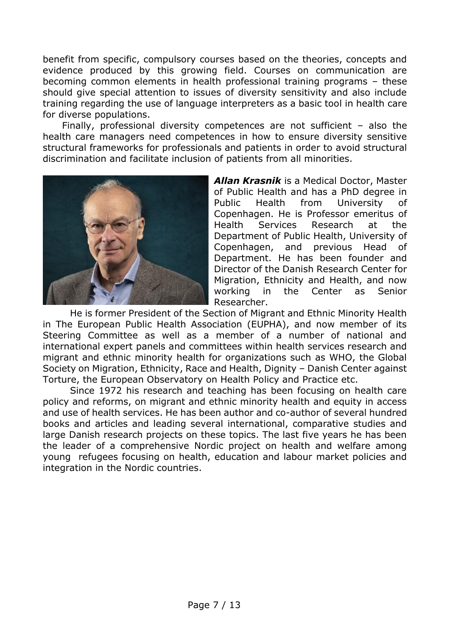benefit from specific, compulsory courses based on the theories, concepts and evidence produced by this growing field. Courses on communication are becoming common elements in health professional training programs – these should give special attention to issues of diversity sensitivity and also include training regarding the use of language interpreters as a basic tool in health care for diverse populations.

Finally, professional diversity competences are not sufficient – also the health care managers need competences in how to ensure diversity sensitive structural frameworks for professionals and patients in order to avoid structural discrimination and facilitate inclusion of patients from all minorities.



*Allan Krasnik* is a Medical Doctor, Master of Public Health and has a PhD degree in Public Health from University of Copenhagen. He is Professor emeritus of Health Services Research at the Department of Public Health, University of Copenhagen, and previous Head of Department. He has been founder and Director of the Danish Research Center for Migration, Ethnicity and Health, and now working in the Center as Senior Researcher.

He is former President of the Section of Migrant and Ethnic Minority Health in The European Public Health Association (EUPHA), and now member of its Steering Committee as well as a member of a number of national and international expert panels and committees within health services research and migrant and ethnic minority health for organizations such as WHO, the Global Society on Migration, Ethnicity, Race and Health, Dignity – Danish Center against Torture, the European Observatory on Health Policy and Practice etc.

Since 1972 his research and teaching has been focusing on health care policy and reforms, on migrant and ethnic minority health and equity in access and use of health services. He has been author and co-author of several hundred books and articles and leading several international, comparative studies and large Danish research projects on these topics. The last five years he has been the leader of a comprehensive Nordic project on health and welfare among young refugees focusing on health, education and labour market policies and integration in the Nordic countries.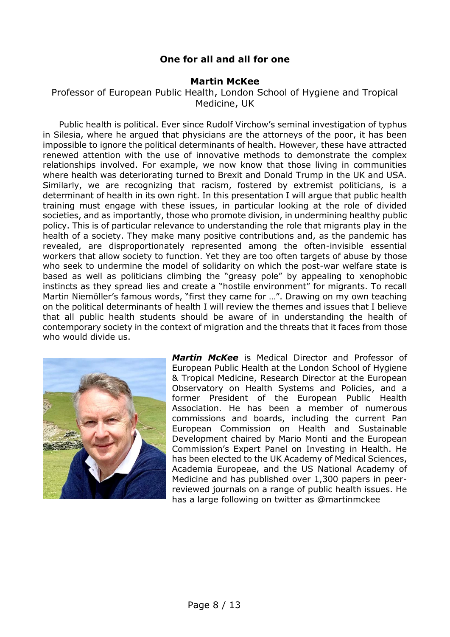### **One for all and all for one**

#### **Martin McKee**

Professor of European Public Health, London School of Hygiene and Tropical Medicine, UK

Public health is political. Ever since Rudolf Virchow's seminal investigation of typhus in Silesia, where he argued that physicians are the attorneys of the poor, it has been impossible to ignore the political determinants of health. However, these have attracted renewed attention with the use of innovative methods to demonstrate the complex relationships involved. For example, we now know that those living in communities where health was deteriorating turned to Brexit and Donald Trump in the UK and USA. Similarly, we are recognizing that racism, fostered by extremist politicians, is a determinant of health in its own right. In this presentation I will argue that public health training must engage with these issues, in particular looking at the role of divided societies, and as importantly, those who promote division, in undermining healthy public policy. This is of particular relevance to understanding the role that migrants play in the health of a society. They make many positive contributions and, as the pandemic has revealed, are disproportionately represented among the often-invisible essential workers that allow society to function. Yet they are too often targets of abuse by those who seek to undermine the model of solidarity on which the post-war welfare state is based as well as politicians climbing the "greasy pole" by appealing to xenophobic instincts as they spread lies and create a "hostile environment" for migrants. To recall Martin Niemöller's famous words, "first they came for …". Drawing on my own teaching on the political determinants of health I will review the themes and issues that I believe that all public health students should be aware of in understanding the health of contemporary society in the context of migration and the threats that it faces from those who would divide us.



*Martin McKee* is Medical Director and Professor of European Public Health at the London School of Hygiene & Tropical Medicine, Research Director at the European Observatory on Health Systems and Policies, and a former President of the European Public Health Association. He has been a member of numerous commissions and boards, including the current Pan European Commission on Health and Sustainable Development chaired by Mario Monti and the European Commission's Expert Panel on Investing in Health. He has been elected to the UK Academy of Medical Sciences, Academia Europeae, and the US National Academy of Medicine and has published over 1,300 papers in peerreviewed journals on a range of public health issues. He has a large following on twitter as @martinmckee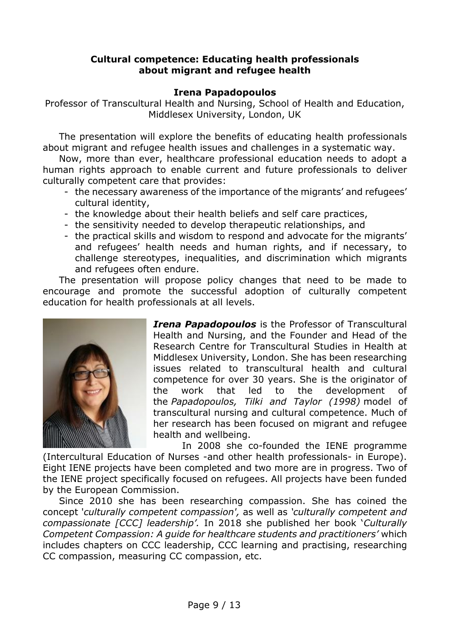#### **Cultural competence: Educating health professionals about migrant and refugee health**

#### **Irena Papadopoulos**

Professor of Transcultural Health and Nursing, School of Health and Education, Middlesex University, London, UK

The presentation will explore the benefits of educating health professionals about migrant and refugee health issues and challenges in a systematic way.

Now, more than ever, healthcare professional education needs to adopt a human rights approach to enable current and future professionals to deliver culturally competent care that provides:

- the necessary awareness of the importance of the migrants' and refugees' cultural identity,
- the knowledge about their health beliefs and self care practices,
- the sensitivity needed to develop therapeutic relationships, and
- the practical skills and wisdom to respond and advocate for the migrants' and refugees' health needs and human rights, and if necessary, to challenge stereotypes, inequalities, and discrimination which migrants and refugees often endure.

The presentation will propose policy changes that need to be made to encourage and promote the successful adoption of culturally competent education for health professionals at all levels.



*Irena Papadopoulos* is the Professor of Transcultural Health and Nursing, and the Founder and Head of the Research Centre for Transcultural Studies in Health at Middlesex University, London. She has been researching issues related to transcultural health and cultural competence for over 30 years. She is the originator of the work that led to the development of the *Papadopoulos, Tilki and Taylor (1998)* model of transcultural nursing and cultural competence. Much of her research has been focused on migrant and refugee health and wellbeing.

In 2008 she co-founded the IENE programme (Intercultural Education of Nurses -and other health professionals- in Europe). Eight IENE projects have been completed and two more are in progress. Two of the IENE project specifically focused on refugees. All projects have been funded by the European Commission.

Since 2010 she has been researching compassion. She has coined the concept '*culturally competent compassion',* as well as *'culturally competent and compassionate [CCC] leadership'.* In 2018 she published her book '*Culturally Competent Compassion: A guide for healthcare students and practitioners'* which includes chapters on CCC leadership, CCC learning and practising, researching CC compassion, measuring CC compassion, etc.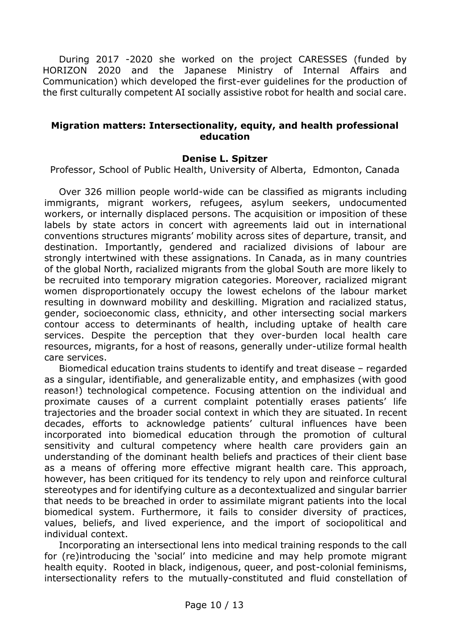During 2017 -2020 she worked on the project CARESSES (funded by HORIZON 2020 and the Japanese Ministry of Internal Affairs and Communication) which developed the first-ever guidelines for the production of the first culturally competent AI socially assistive robot for health and social care.

#### **Migration matters: Intersectionality, equity, and health professional education**

#### **Denise L. Spitzer**

Professor, School of Public Health, University of Alberta, Edmonton, Canada

Over 326 million people world-wide can be classified as migrants including immigrants, migrant workers, refugees, asylum seekers, undocumented workers, or internally displaced persons. The acquisition or imposition of these labels by state actors in concert with agreements laid out in international conventions structures migrants' mobility across sites of departure, transit, and destination. Importantly, gendered and racialized divisions of labour are strongly intertwined with these assignations. In Canada, as in many countries of the global North, racialized migrants from the global South are more likely to be recruited into temporary migration categories. Moreover, racialized migrant women disproportionately occupy the lowest echelons of the labour market resulting in downward mobility and deskilling. Migration and racialized status, gender, socioeconomic class, ethnicity, and other intersecting social markers contour access to determinants of health, including uptake of health care services. Despite the perception that they over-burden local health care resources, migrants, for a host of reasons, generally under-utilize formal health care services.

Biomedical education trains students to identify and treat disease – regarded as a singular, identifiable, and generalizable entity, and emphasizes (with good reason!) technological competence. Focusing attention on the individual and proximate causes of a current complaint potentially erases patients' life trajectories and the broader social context in which they are situated. In recent decades, efforts to acknowledge patients' cultural influences have been incorporated into biomedical education through the promotion of cultural sensitivity and cultural competency where health care providers gain an understanding of the dominant health beliefs and practices of their client base as a means of offering more effective migrant health care. This approach, however, has been critiqued for its tendency to rely upon and reinforce cultural stereotypes and for identifying culture as a decontextualized and singular barrier that needs to be breached in order to assimilate migrant patients into the local biomedical system. Furthermore, it fails to consider diversity of practices, values, beliefs, and lived experience, and the import of sociopolitical and individual context.

Incorporating an intersectional lens into medical training responds to the call for (re)introducing the 'social' into medicine and may help promote migrant health equity. Rooted in black, indigenous, queer, and post-colonial feminisms, intersectionality refers to the mutually-constituted and fluid constellation of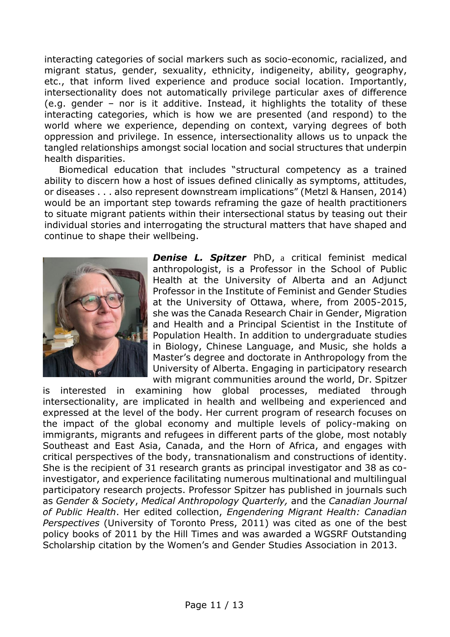interacting categories of social markers such as socio-economic, racialized, and migrant status, gender, sexuality, ethnicity, indigeneity, ability, geography, etc., that inform lived experience and produce social location. Importantly, intersectionality does not automatically privilege particular axes of difference (e.g. gender – nor is it additive. Instead, it highlights the totality of these interacting categories, which is how we are presented (and respond) to the world where we experience, depending on context, varying degrees of both oppression and privilege. In essence, intersectionality allows us to unpack the tangled relationships amongst social location and social structures that underpin health disparities.

Biomedical education that includes "structural competency as a trained ability to discern how a host of issues defined clinically as symptoms, attitudes, or diseases . . . also represent downstream implications" (Metzl & Hansen, 2014) would be an important step towards reframing the gaze of health practitioners to situate migrant patients within their intersectional status by teasing out their individual stories and interrogating the structural matters that have shaped and continue to shape their wellbeing.



*Denise L. Spitzer* PhD, a critical feminist medical anthropologist, is a Professor in the School of Public Health at the University of Alberta and an Adjunct Professor in the Institute of Feminist and Gender Studies at the University of Ottawa, where, from 2005-2015, she was the Canada Research Chair in Gender, Migration and Health and a Principal Scientist in the Institute of Population Health. In addition to undergraduate studies in Biology, Chinese Language, and Music, she holds a Master's degree and doctorate in Anthropology from the University of Alberta. Engaging in participatory research with migrant communities around the world, Dr. Spitzer

is interested in examining how global processes, mediated through intersectionality, are implicated in health and wellbeing and experienced and expressed at the level of the body. Her current program of research focuses on the impact of the global economy and multiple levels of policy-making on immigrants, migrants and refugees in different parts of the globe, most notably Southeast and East Asia, Canada, and the Horn of Africa, and engages with critical perspectives of the body, transnationalism and constructions of identity. She is the recipient of 31 research grants as principal investigator and 38 as coinvestigator, and experience facilitating numerous multinational and multilingual participatory research projects. Professor Spitzer has published in journals such as *Gender & Society*, *Medical Anthropology Quarterly,* and the *Canadian Journal of Public Health*. Her edited collection, *Engendering Migrant Health: Canadian Perspectives* (University of Toronto Press, 2011) was cited as one of the best policy books of 2011 by the Hill Times and was awarded a WGSRF Outstanding Scholarship citation by the Women's and Gender Studies Association in 2013.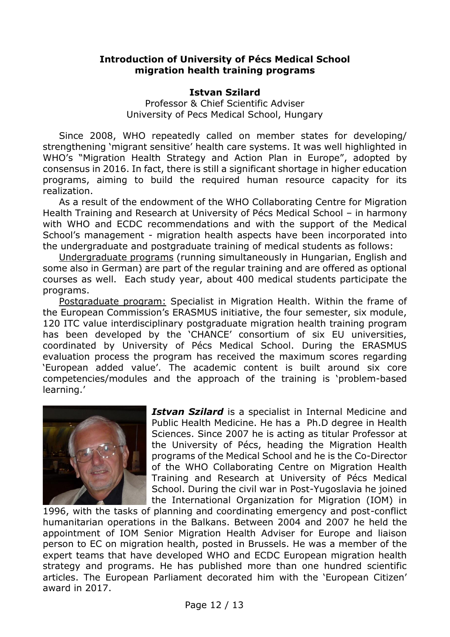#### **Introduction of University of Pécs Medical School migration health training programs**

#### **Istvan Szilard**

Professor & Chief Scientific Adviser University of Pecs Medical School, Hungary

Since 2008, WHO repeatedly called on member states for developing/ strengthening 'migrant sensitive' health care systems. It was well highlighted in WHO's "Migration Health Strategy and Action Plan in Europe", adopted by consensus in 2016. In fact, there is still a significant shortage in higher education programs, aiming to build the required human resource capacity for its realization.

As a result of the endowment of the WHO Collaborating Centre for Migration Health Training and Research at University of Pécs Medical School – in harmony with WHO and ECDC recommendations and with the support of the Medical School's management - migration health aspects have been incorporated into the undergraduate and postgraduate training of medical students as follows:

Undergraduate programs (running simultaneously in Hungarian, English and some also in German) are part of the regular training and are offered as optional courses as well. Each study year, about 400 medical students participate the programs.

Postgraduate program: Specialist in Migration Health. Within the frame of the European Commission's ERASMUS initiative, the four semester, six module, 120 ITC value interdisciplinary postgraduate migration health training program has been developed by the 'CHANCE' consortium of six EU universities, coordinated by University of Pécs Medical School. During the ERASMUS evaluation process the program has received the maximum scores regarding 'European added value'. The academic content is built around six core competencies/modules and the approach of the training is 'problem-based learning.'



*Istvan Szilard* is a specialist in Internal Medicine and Public Health Medicine. He has a Ph.D degree in Health Sciences. Since 2007 he is acting as titular Professor at the University of Pécs, heading the Migration Health programs of the Medical School and he is the Co-Director of the WHO Collaborating Centre on Migration Health Training and Research at University of Pécs Medical School. During the civil war in Post-Yugoslavia he joined the International Organization for Migration (IOM) in

1996, with the tasks of planning and coordinating emergency and post-conflict humanitarian operations in the Balkans. Between 2004 and 2007 he held the appointment of IOM Senior Migration Health Adviser for Europe and liaison person to EC on migration health, posted in Brussels. He was a member of the expert teams that have developed WHO and ECDC European migration health strategy and programs. He has published more than one hundred scientific articles. The European Parliament decorated him with the 'European Citizen' award in 2017.